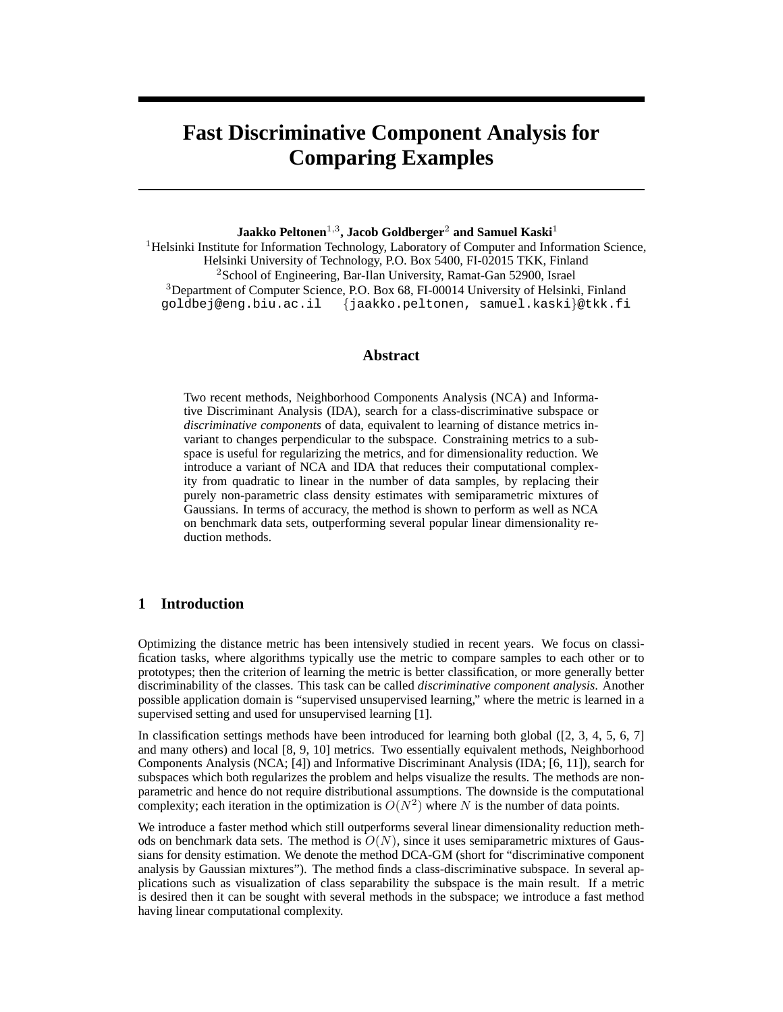# **Fast Discriminative Component Analysis for Comparing Examples**

## **Jaakko Peltonen**1,<sup>3</sup> **, Jacob Goldberger**<sup>2</sup> **and Samuel Kaski**<sup>1</sup>

<sup>1</sup>Helsinki Institute for Information Technology, Laboratory of Computer and Information Science, Helsinki University of Technology, P.O. Box 5400, FI-02015 TKK, Finland <sup>2</sup>School of Engineering, Bar-Ilan University, Ramat-Gan 52900, Israel <sup>3</sup>Department of Computer Science, P.O. Box 68, FI-00014 University of Helsinki, Finland goldbej@eng.biu.ac.il {jaakko.peltonen, samuel.kaski}@tkk.fi

#### **Abstract**

Two recent methods, Neighborhood Components Analysis (NCA) and Informative Discriminant Analysis (IDA), search for a class-discriminative subspace or *discriminative components* of data, equivalent to learning of distance metrics invariant to changes perpendicular to the subspace. Constraining metrics to a subspace is useful for regularizing the metrics, and for dimensionality reduction. We introduce a variant of NCA and IDA that reduces their computational complexity from quadratic to linear in the number of data samples, by replacing their purely non-parametric class density estimates with semiparametric mixtures of Gaussians. In terms of accuracy, the method is shown to perform as well as NCA on benchmark data sets, outperforming several popular linear dimensionality reduction methods.

## **1 Introduction**

Optimizing the distance metric has been intensively studied in recent years. We focus on classification tasks, where algorithms typically use the metric to compare samples to each other or to prototypes; then the criterion of learning the metric is better classification, or more generally better discriminability of the classes. This task can be called *discriminative component analysis*. Another possible application domain is "supervised unsupervised learning," where the metric is learned in a supervised setting and used for unsupervised learning [1].

In classification settings methods have been introduced for learning both global ([2, 3, 4, 5, 6, 7] and many others) and local [8, 9, 10] metrics. Two essentially equivalent methods, Neighborhood Components Analysis (NCA; [4]) and Informative Discriminant Analysis (IDA; [6, 11]), search for subspaces which both regularizes the problem and helps visualize the results. The methods are nonparametric and hence do not require distributional assumptions. The downside is the computational complexity; each iteration in the optimization is  $O(N^2)$  where N is the number of data points.

We introduce a faster method which still outperforms several linear dimensionality reduction methods on benchmark data sets. The method is  $O(N)$ , since it uses semiparametric mixtures of Gaussians for density estimation. We denote the method DCA-GM (short for "discriminative component analysis by Gaussian mixtures"). The method finds a class-discriminative subspace. In several applications such as visualization of class separability the subspace is the main result. If a metric is desired then it can be sought with several methods in the subspace; we introduce a fast method having linear computational complexity.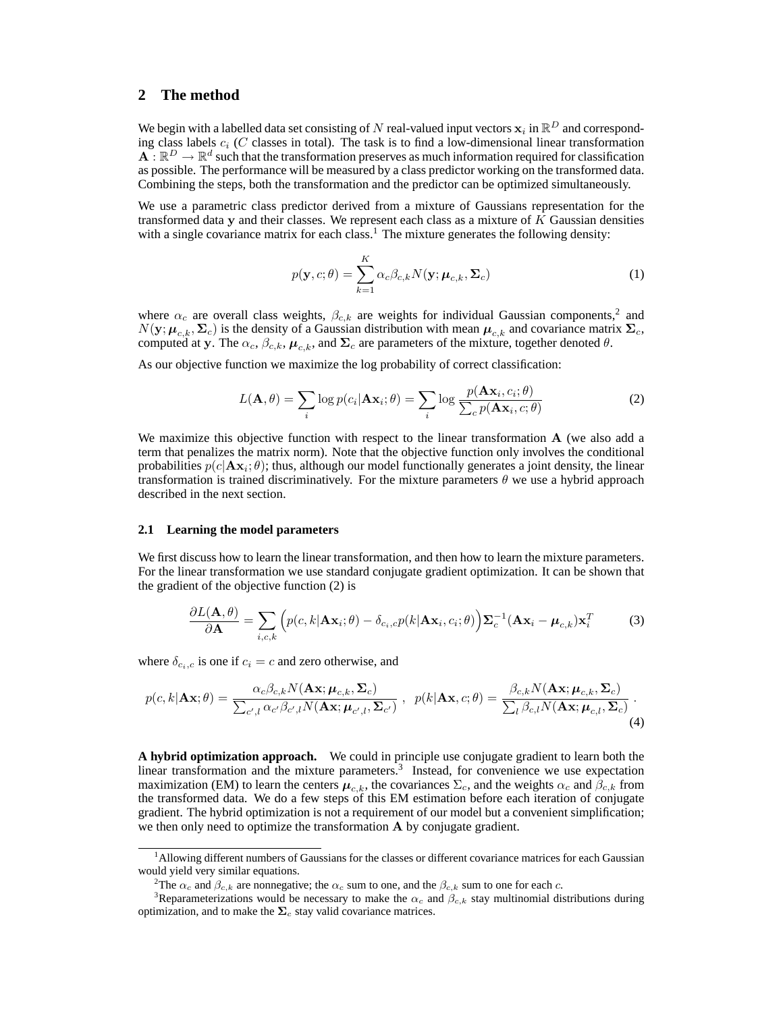### **2 The method**

We begin with a labelled data set consisting of N real-valued input vectors  $\mathbf{x}_i$  in  $\mathbb{R}^D$  and corresponding class labels  $c_i$  (C classes in total). The task is to find a low-dimensional linear transformation  $\mathbf{A}$  :  $\mathbb{R}^D \to \mathbb{R}^d$  such that the transformation preserves as much information required for classification as possible. The performance will be measured by a class predictor working on the transformed data. Combining the steps, both the transformation and the predictor can be optimized simultaneously.

We use a parametric class predictor derived from a mixture of Gaussians representation for the transformed data y and their classes. We represent each class as a mixture of K Gaussian densities with a single covariance matrix for each class.<sup>1</sup> The mixture generates the following density:

$$
p(\mathbf{y}, c; \theta) = \sum_{k=1}^{K} \alpha_c \beta_{c,k} N(\mathbf{y}; \boldsymbol{\mu}_{c,k}, \boldsymbol{\Sigma}_c)
$$
(1)

where  $\alpha_c$  are overall class weights,  $\beta_{c,k}$  are weights for individual Gaussian components,<sup>2</sup> and  $N(\mathbf{y}; \mu_{c,k}, \Sigma_c)$  is the density of a Gaussian distribution with mean  $\mu_{c,k}$  and covariance matrix  $\Sigma_c$ , computed at y. The  $\alpha_c$ ,  $\beta_{c,k}$ ,  $\mu_{c,k}$ , and  $\Sigma_c$  are parameters of the mixture, together denoted  $\theta$ .

As our objective function we maximize the log probability of correct classification:

$$
L(\mathbf{A}, \theta) = \sum_{i} \log p(c_i | \mathbf{A} \mathbf{x}_i; \theta) = \sum_{i} \log \frac{p(\mathbf{A} \mathbf{x}_i, c_i; \theta)}{\sum_{c} p(\mathbf{A} \mathbf{x}_i, c; \theta)}
$$
(2)

We maximize this objective function with respect to the linear transformation A (we also add a term that penalizes the matrix norm). Note that the objective function only involves the conditional probabilities  $p(c|\mathbf{A}\mathbf{x}_i;\theta)$ ; thus, although our model functionally generates a joint density, the linear transformation is trained discriminatively. For the mixture parameters  $\theta$  we use a hybrid approach described in the next section.

#### **2.1 Learning the model parameters**

We first discuss how to learn the linear transformation, and then how to learn the mixture parameters. For the linear transformation we use standard conjugate gradient optimization. It can be shown that the gradient of the objective function (2) is

$$
\frac{\partial L(\mathbf{A}, \theta)}{\partial \mathbf{A}} = \sum_{i, c, k} \left( p(c, k | \mathbf{A} \mathbf{x}_i; \theta) - \delta_{c_i, c} p(k | \mathbf{A} \mathbf{x}_i, c_i; \theta) \right) \mathbf{\Sigma}_c^{-1} (\mathbf{A} \mathbf{x}_i - \boldsymbol{\mu}_{c, k}) \mathbf{x}_i^T
$$
(3)

where  $\delta_{c_i,c}$  is one if  $c_i = c$  and zero otherwise, and

$$
p(c,k|\mathbf{A}\mathbf{x};\theta) = \frac{\alpha_c \beta_{c,k} N(\mathbf{A}\mathbf{x};\boldsymbol{\mu}_{c,k},\boldsymbol{\Sigma}_c)}{\sum_{c',l} \alpha_{c'} \beta_{c',l} N(\mathbf{A}\mathbf{x};\boldsymbol{\mu}_{c',l},\boldsymbol{\Sigma}_{c'})}, \ \ p(k|\mathbf{A}\mathbf{x},c;\theta) = \frac{\beta_{c,k} N(\mathbf{A}\mathbf{x};\boldsymbol{\mu}_{c,k},\boldsymbol{\Sigma}_c)}{\sum_{l} \beta_{c,l} N(\mathbf{A}\mathbf{x};\boldsymbol{\mu}_{c,l},\boldsymbol{\Sigma}_c)}.
$$
\n(4)

**A hybrid optimization approach.** We could in principle use conjugate gradient to learn both the linear transformation and the mixture parameters.<sup>3</sup> Instead, for convenience we use expectation maximization (EM) to learn the centers  $\mu_{c,k}$ , the covariances  $\Sigma_c$ , and the weights  $\alpha_c$  and  $\beta_{c,k}$  from the transformed data. We do a few steps of this EM estimation before each iteration of conjugate gradient. The hybrid optimization is not a requirement of our model but a convenient simplification; we then only need to optimize the transformation A by conjugate gradient.

<sup>&</sup>lt;sup>1</sup>Allowing different numbers of Gaussians for the classes or different covariance matrices for each Gaussian would yield very similar equations.

<sup>&</sup>lt;sup>2</sup>The  $\alpha_c$  and  $\beta_{c,k}$  are nonnegative; the  $\alpha_c$  sum to one, and the  $\beta_{c,k}$  sum to one for each c.

<sup>&</sup>lt;sup>3</sup>Reparameterizations would be necessary to make the  $\alpha_c$  and  $\beta_{c,k}$  stay multinomial distributions during optimization, and to make the  $\Sigma_c$  stay valid covariance matrices.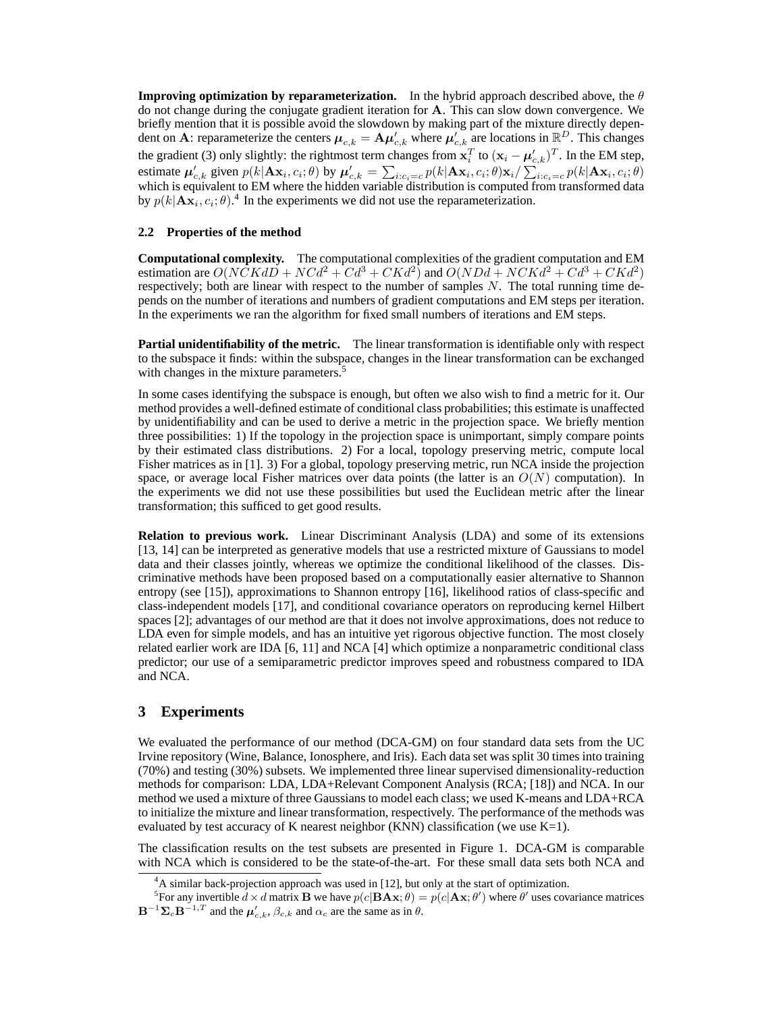**Improving optimization by reparameterization.** In the hybrid approach described above, the  $\theta$ do not change during the conjugate gradient iteration for A. This can slow down convergence. We briefly mention that it is possible avoid the slowdown by making part of the mixture directly dependent on A: reparameterize the centers  $\mu_{c,k} = A \mu'_{c,k}$  where  $\mu'_{c,k}$  are locations in  $\mathbb{R}^D$ . This changes the gradient (3) only slightly: the rightmost term changes from  $\mathbf{x}_i^T$  to  $(\mathbf{x}_i - \boldsymbol{\mu}'_{c,k})^T$ . In the EM step, estimate  $\mu'_{c,k}$  given  $p(k|\mathbf{A}\mathbf{x}_i,c_i;\theta)$  by  $\mu'_{c,k} = \sum_{i:c_i=c} p(k|\mathbf{A}\mathbf{x}_i,c_i;\theta)\mathbf{x}_i/\sum_{i:c_i=c} p(k|\mathbf{A}\mathbf{x}_i,c_i;\theta)$ which is equivalent to EM where the hidden variable distribution is computed from transformed data by  $p(k|\mathbf{A}\mathbf{x}_i, c_i; \theta)$ .<sup>4</sup> In the experiments we did not use the reparameterization.

#### **2.2 Properties of the method**

**Computational complexity.** The computational complexities of the gradient computation and EM estimation are  $O(N\ddot{C}Kd\ddot{D} + NCd^2 + Cd^3 + CKd^2)$  and  $O(NDd + NCKd^2 + Cd^3 + CKd^2)$ respectively; both are linear with respect to the number of samples  $N$ . The total running time depends on the number of iterations and numbers of gradient computations and EM steps per iteration. In the experiments we ran the algorithm for fixed small numbers of iterations and EM steps.

**Partial unidentifiability of the metric.** The linear transformation is identifiable only with respect to the subspace it finds: within the subspace, changes in the linear transformation can be exchanged with changes in the mixture parameters.<sup>5</sup>

In some cases identifying the subspace is enough, but often we also wish to find a metric for it. Our method provides a well-defined estimate of conditional class probabilities; this estimate is unaffected by unidentifiability and can be used to derive a metric in the projection space. We briefly mention three possibilities: 1) If the topology in the projection space is unimportant, simply compare points by their estimated class distributions. 2) For a local, topology preserving metric, compute local Fisher matrices as in [1]. 3) For a global, topology preserving metric, run NCA inside the projection space, or average local Fisher matrices over data points (the latter is an  $O(N)$  computation). In the experiments we did not use these possibilities but used the Euclidean metric after the linear transformation; this sufficed to get good results.

**Relation to previous work.** Linear Discriminant Analysis (LDA) and some of its extensions [13, 14] can be interpreted as generative models that use a restricted mixture of Gaussians to model data and their classes jointly, whereas we optimize the conditional likelihood of the classes. Discriminative methods have been proposed based on a computationally easier alternative to Shannon entropy (see [15]), approximations to Shannon entropy [16], likelihood ratios of class-specific and class-independent models [17], and conditional covariance operators on reproducing kernel Hilbert spaces [2]; advantages of our method are that it does not involve approximations, does not reduce to LDA even for simple models, and has an intuitive yet rigorous objective function. The most closely related earlier work are IDA [6, 11] and NCA [4] which optimize a nonparametric conditional class predictor; our use of a semiparametric predictor improves speed and robustness compared to IDA and NCA.

## **3 Experiments**

We evaluated the performance of our method (DCA-GM) on four standard data sets from the UC Irvine repository (Wine, Balance, Ionosphere, and Iris). Each data set was split 30 times into training (70%) and testing (30%) subsets. We implemented three linear supervised dimensionality-reduction methods for comparison: LDA, LDA+Relevant Component Analysis (RCA; [18]) and NCA. In our method we used a mixture of three Gaussians to model each class; we used K-means and LDA+RCA to initialize the mixture and linear transformation, respectively. The performance of the methods was evaluated by test accuracy of K nearest neighbor (KNN) classification (we use  $K=1$ ).

The classification results on the test subsets are presented in Figure 1. DCA-GM is comparable with NCA which is considered to be the state-of-the-art. For these small data sets both NCA and

 ${}^{4}$ A similar back-projection approach was used in [12], but only at the start of optimization.

<sup>&</sup>lt;sup>5</sup>For any invertible  $d \times d$  matrix **B** we have  $p(c|\mathbf{B}\mathbf{A}\mathbf{x};\theta) = p(c|\mathbf{A}\mathbf{x};\theta')$  where  $\theta'$  uses covariance matrices  $\mathbf{B}^{-1}\mathbf{\Sigma}_c\mathbf{B}^{-1,T}$  and the  $\mu'_{c,k}$ ,  $\beta_{c,k}$  and  $\alpha_c$  are the same as in  $\theta$ .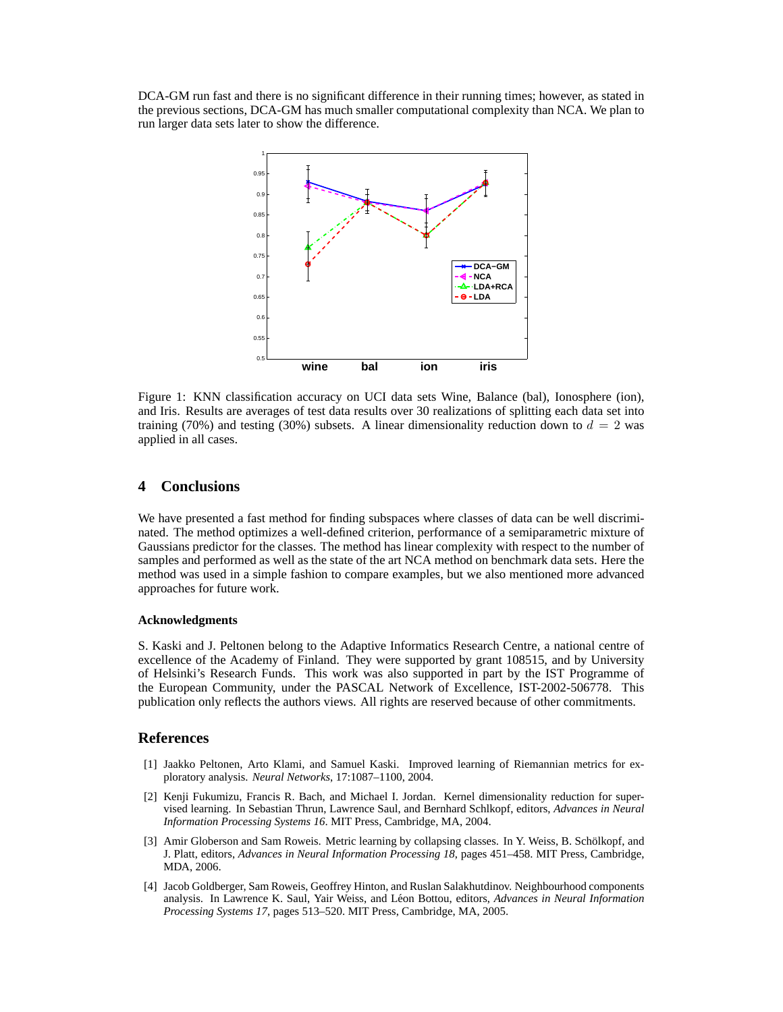DCA-GM run fast and there is no significant difference in their running times; however, as stated in the previous sections, DCA-GM has much smaller computational complexity than NCA. We plan to run larger data sets later to show the difference.



Figure 1: KNN classification accuracy on UCI data sets Wine, Balance (bal), Ionosphere (ion), and Iris. Results are averages of test data results over 30 realizations of splitting each data set into training (70%) and testing (30%) subsets. A linear dimensionality reduction down to  $d = 2$  was applied in all cases.

## **4 Conclusions**

We have presented a fast method for finding subspaces where classes of data can be well discriminated. The method optimizes a well-defined criterion, performance of a semiparametric mixture of Gaussians predictor for the classes. The method has linear complexity with respect to the number of samples and performed as well as the state of the art NCA method on benchmark data sets. Here the method was used in a simple fashion to compare examples, but we also mentioned more advanced approaches for future work.

#### **Acknowledgments**

S. Kaski and J. Peltonen belong to the Adaptive Informatics Research Centre, a national centre of excellence of the Academy of Finland. They were supported by grant 108515, and by University of Helsinki's Research Funds. This work was also supported in part by the IST Programme of the European Community, under the PASCAL Network of Excellence, IST-2002-506778. This publication only reflects the authors views. All rights are reserved because of other commitments.

#### **References**

- [1] Jaakko Peltonen, Arto Klami, and Samuel Kaski. Improved learning of Riemannian metrics for exploratory analysis. *Neural Networks*, 17:1087–1100, 2004.
- [2] Kenji Fukumizu, Francis R. Bach, and Michael I. Jordan. Kernel dimensionality reduction for supervised learning. In Sebastian Thrun, Lawrence Saul, and Bernhard Schlkopf, editors, *Advances in Neural Information Processing Systems 16*. MIT Press, Cambridge, MA, 2004.
- [3] Amir Globerson and Sam Roweis. Metric learning by collapsing classes. In Y. Weiss, B. Schölkopf, and J. Platt, editors, *Advances in Neural Information Processing 18*, pages 451–458. MIT Press, Cambridge, MDA, 2006.
- [4] Jacob Goldberger, Sam Roweis, Geoffrey Hinton, and Ruslan Salakhutdinov. Neighbourhood components analysis. In Lawrence K. Saul, Yair Weiss, and Leon Bottou, editors, ´ *Advances in Neural Information Processing Systems 17*, pages 513–520. MIT Press, Cambridge, MA, 2005.